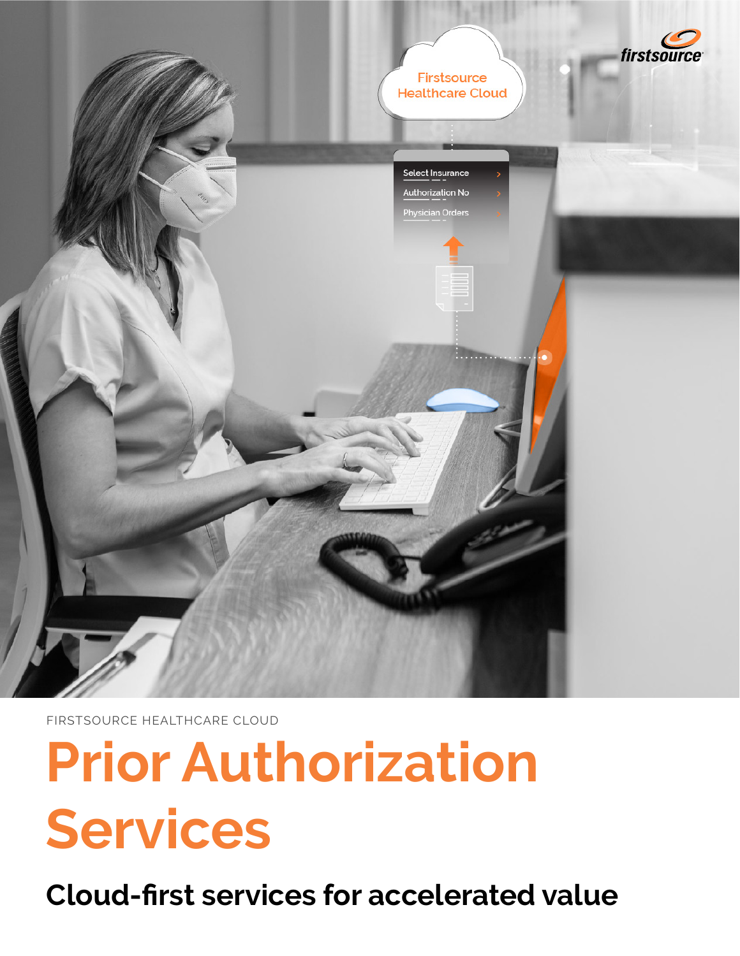

FIRSTSOURCE HEALTHCARE CLOUD

# **Prior Authorization Services**

**Cloud-first services for accelerated value**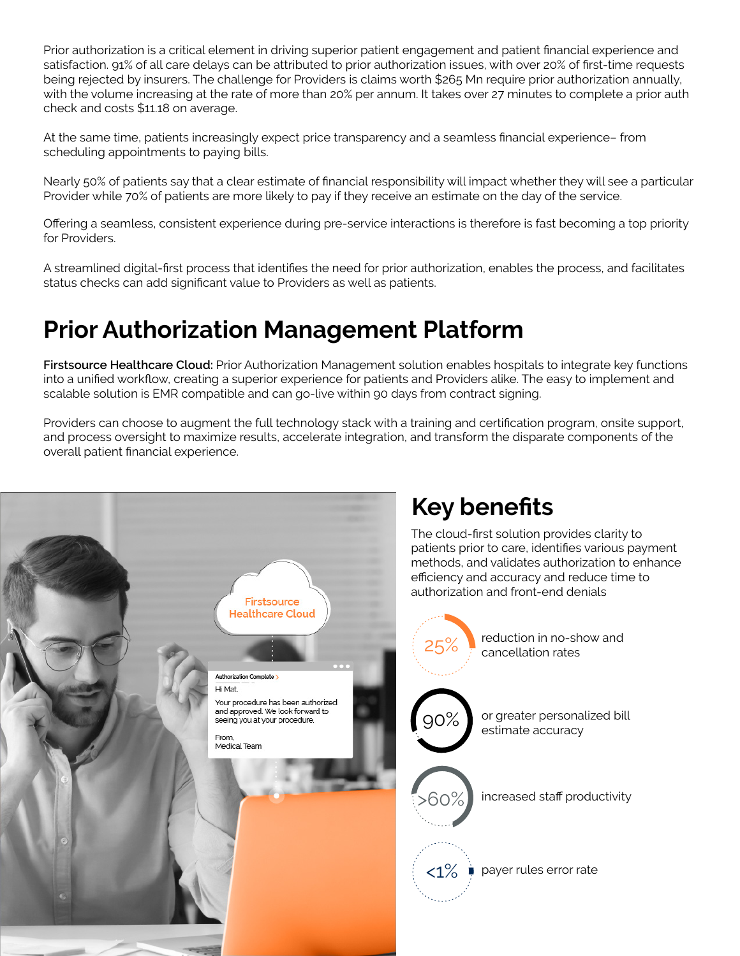Prior authorization is a critical element in driving superior patient engagement and patient financial experience and satisfaction. 91% of all care delays can be attributed to prior authorization issues, with over 20% of first-time requests being rejected by insurers. The challenge for Providers is claims worth \$265 Mn require prior authorization annually, with the volume increasing at the rate of more than 20% per annum. It takes over 27 minutes to complete a prior auth check and costs \$11.18 on average.

At the same time, patients increasingly expect price transparency and a seamless financial experience– from scheduling appointments to paying bills.

Nearly 50% of patients say that a clear estimate of financial responsibility will impact whether they will see a particular Provider while 70% of patients are more likely to pay if they receive an estimate on the day of the service.

Offering a seamless, consistent experience during pre-service interactions is therefore is fast becoming a top priority for Providers.

A streamlined digital-first process that identifies the need for prior authorization, enables the process, and facilitates status checks can add significant value to Providers as well as patients.

## **Prior Authorization Management Platform**

**Firstsource Healthcare Cloud:** Prior Authorization Management solution enables hospitals to integrate key functions into a unified workflow, creating a superior experience for patients and Providers alike. The easy to implement and scalable solution is EMR compatible and can go-live within 90 days from contract signing.

Providers can choose to augment the full technology stack with a training and certification program, onsite support, and process oversight to maximize results, accelerate integration, and transform the disparate components of the overall patient financial experience.

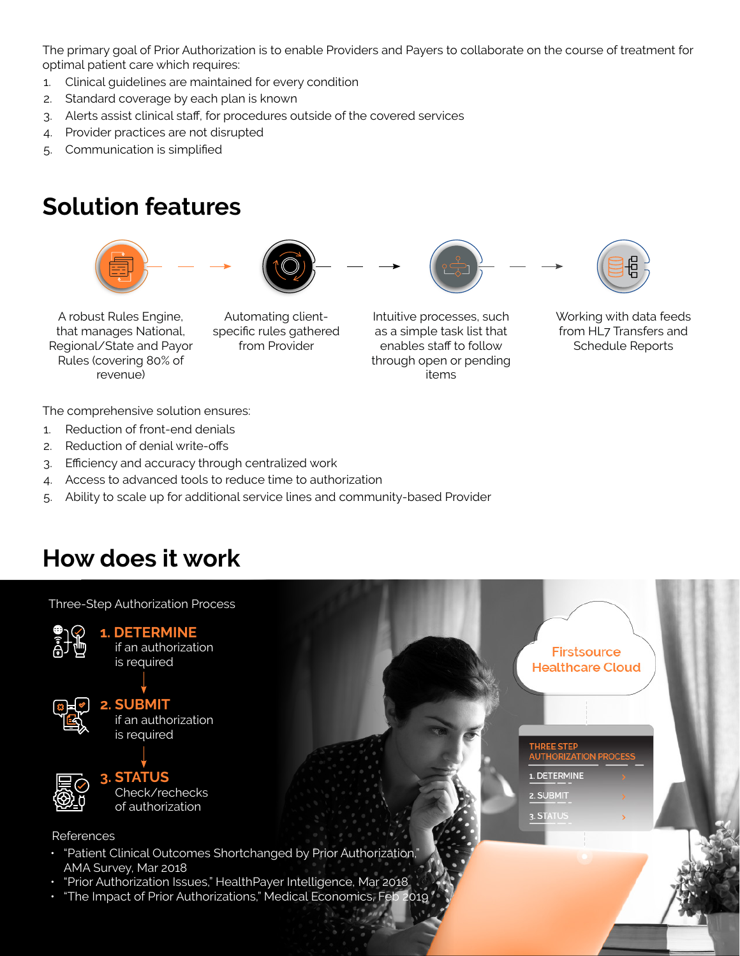The primary goal of Prior Authorization is to enable Providers and Payers to collaborate on the course of treatment for optimal patient care which requires:

- 1. Clinical guidelines are maintained for every condition
- 2. Standard coverage by each plan is known
- 3. Alerts assist clinical staff, for procedures outside of the covered services
- 4. Provider practices are not disrupted
- 5. Communication is simplified

#### **Solution features**



A robust Rules Engine, that manages National, Regional/State and Payor Rules (covering 80% of revenue)

Automating clientspecific rules gathered from Provider

Intuitive processes, such as a simple task list that enables staff to follow through open or pending items



from HL7 Transfers and Schedule Reports

The comprehensive solution ensures:

- 1. Reduction of front-end denials
- 2. Reduction of denial write-offs
- 3. Efficiency and accuracy through centralized work
- 4. Access to advanced tools to reduce time to authorization
- 5. Ability to scale up for additional service lines and community-based Provider

## **How does it work**